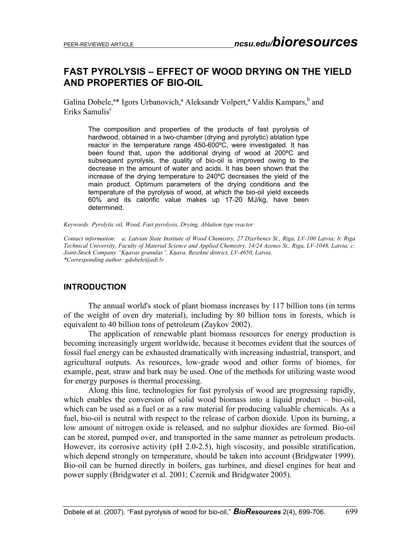# **FAST PYROLYSIS – EFFECT OF WOOD DRYING ON THE YIELD AND PROPERTIES OF BIO-OIL**

Galina Dobele,<sup>a\*</sup> Igors Urbanovich,<sup>a</sup> Aleksandr Volpert,<sup>a</sup> Valdis Kampars,<sup>b</sup> and Eriks Samulis<sup>c</sup>

The composition and properties of the products of fast pyrolysis of hardwood, obtained in a two-chamber (drying and pyrolytic) ablation type reactor in the temperature range 450-600ºС, were investigated. It has been found that, upon the additional drying of wood at 200ºС and subsequent pyrolysis, the quality of bio-oil is improved owing to the decrease in the amount of water and acids. It has been shown that the increase of the drying temperature to 240ºС decreases the yield of the main product. Optimum parameters of the drying conditions and the temperature of the pyrolysis of wood, at which the bio-oil yield exceeds 60% and its calorific value makes up 17-20 МJ/kg, have been determined.

*Keywords: Pyrolytic oil, Wood, Fast pyrolysis, Drying, Ablation type reactor* 

*Contact information: a: Latvian State Institute of Wood Chemistry, 27 Dzerbenes St., Riga, LV-100 Latvia; b: Riga Technical University, Faculty of Material Science and Applied Chemistry, 14/24 Azenes St., Riga, LV-1048, Latvia; c: Joint-Stock Company "Kņavas granulas", Kņava, Rezekne district, LV-4650, Latvia. \*Corresponding author: gdobele@edi.lv* 

### **INTRODUCTION**

The annual world's stock of plant biomass increases by 117 billion tons (in terms of the weight of oven dry material), including by 80 billion tons in forests, which is equivalent to 40 billion tons of petroleum (Zaykov 2002).

The application of renewable plant biomass resources for energy production is becoming increasingly urgent worldwide, because it becomes evident that the sources of fossil fuel energy can be exhausted dramatically with increasing industrial, transport, and agricultural outputs. As resources, low-grade wood and other forms of biomes, for example, peat, straw and bark may be used. One of the methods for utilizing waste wood for energy purposes is thermal processing.

Along this line, technologies for fast pyrolysis of wood are progressing rapidly, which enables the conversion of solid wood biomass into a liquid product – bio-oil, which can be used as a fuel or as a raw material for producing valuable chemicals. As a fuel, bio-oil is neutral with respect to the release of carbon dioxide. Upon its burning, a low amount of nitrogen oxide is released, and no sulphur dioxides are formed. Bio-oil can be stored, pumped over, and transported in the same manner as petroleum products. However, its corrosive activity (pH 2.0-2.5), high viscosity, and possible stratification, which depend strongly on temperature, should be taken into account (Bridgwater 1999). Bio-oil can be burned directly in boilers, gas turbines, and diesel engines for heat and power supply (Bridgwater et al. 2001; Czernik and Bridgwater 2005).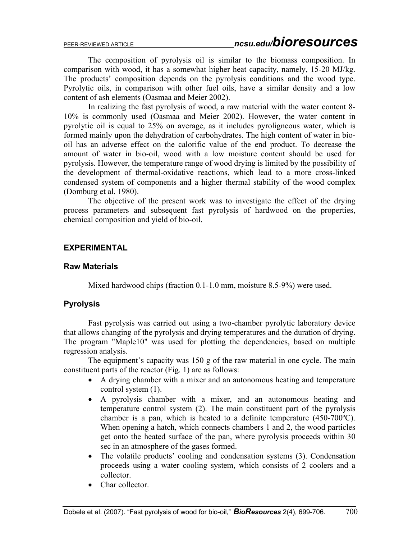The composition of pyrolysis oil is similar to the biomass composition. In comparison with wood, it has a somewhat higher heat capacity, namely, 15-20 МJ/kg. The products' composition depends on the pyrolysis conditions and the wood type. Pyrolytic oils, in comparison with other fuel oils, have a similar density and a low content of ash elements (Oasmaa and Meier 2002).

In realizing the fast pyrolysis of wood, a raw material with the water content 8- 10% is commonly used (Oasmaa and Meier 2002). However, the water content in pyrolytic oil is equal to 25% on average, as it includes pyroligneous water, which is formed mainly upon the dehydration of carbohydrates. The high content of water in biooil has an adverse effect on the calorific value of the end product. To decrease the amount of water in bio-oil, wood with a low moisture content should be used for pyrolysis. However, the temperature range of wood drying is limited by the possibility of the development of thermal-oxidative reactions, which lead to a more cross-linked condensed system of components and a higher thermal stability of the wood complex (Domburg et al. 1980).

The objective of the present work was to investigate the effect of the drying process parameters and subsequent fast pyrolysis of hardwood on the properties, chemical composition and yield of bio-oil.

### **EXPERIMENTAL**

### **Raw Materials**

Mixed hardwood chips (fraction 0.1-1.0 mm, moisture 8.5-9%) were used.

### **Pyrolysis**

Fast pyrolysis was carried out using a two-chamber pyrolytic laboratory device that allows changing of the pyrolysis and drying temperatures and the duration of drying. The program "Maple10" was used for plotting the dependencies, based on multiple regression analysis.

The equipment's capacity was 150 g of the raw material in one cycle. The main constituent parts of the reactor (Fig. 1) are as follows:

- A drying chamber with a mixer and an autonomous heating and temperature control system (1).
- A pyrolysis chamber with a mixer, and an autonomous heating and temperature control system (2). The main constituent part of the pyrolysis chamber is a pan, which is heated to a definite temperature (450-700ºC). When opening a hatch, which connects chambers 1 and 2, the wood particles get onto the heated surface of the pan, where pyrolysis proceeds within 30 sec in an atmosphere of the gases formed.
- The volatile products' cooling and condensation systems (3). Condensation proceeds using a water cooling system, which consists of 2 coolers and a collector.
- Char collector.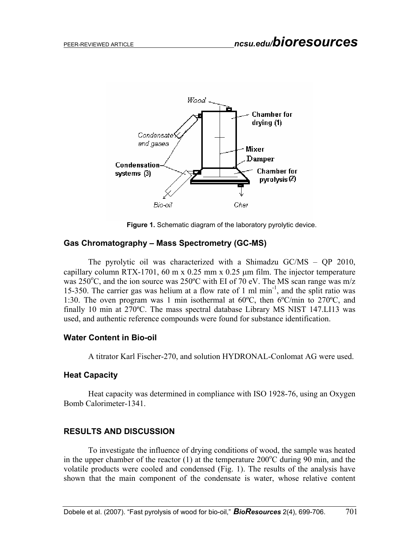

**Figure 1.** Schematic diagram of the laboratory pyrolytic device.

### **Gas Chromatography – Mass Spectrometry (GC-MS)**

The pyrolytic oil was characterized with a Shimadzu GC/MS – QP 2010, capillary column RTX-1701, 60 m x 0.25 mm x 0.25  $\mu$ m film. The injector temperature was 250 $\rm{^o}C$ , and the ion source was 250 $\rm{^o}C$  with EI of 70 eV. The MS scan range was m/z 15-350. The carrier gas was helium at a flow rate of 1 ml min-1, and the split ratio was 1:30. The oven program was 1 min isothermal at 60ºC, then 6ºC/min to 270ºC, and finally 10 min at 270ºC. The mass spectral database Library MS NIST 147.LI13 was used, and authentic reference compounds were found for substance identification.

#### **Water Content in Bio-oil**

A titrator Karl Fischer-270, and solution HYDRONAL-Conlomat AG were used.

#### **Heat Capacity**

Heat capacity was determined in compliance with ISO 1928-76, using an Oxygen Bomb Calorimeter-1341.

### **RESULTS AND DISCUSSION**

To investigate the influence of drying conditions of wood, the sample was heated in the upper chamber of the reactor (1) at the temperature  $200^{\circ}$ C during 90 min, and the volatile products were cooled and condensed (Fig. 1). The results of the analysis have shown that the main component of the condensate is water, whose relative content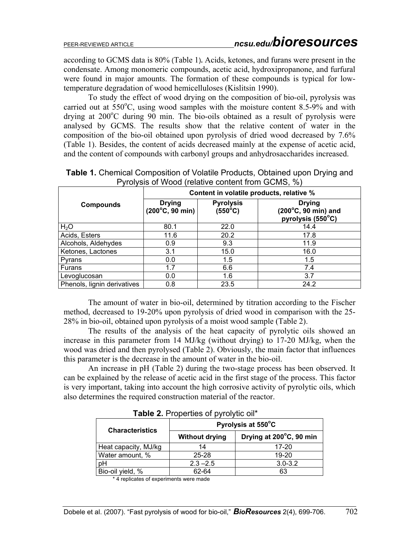according to GCMS data is 80% (Table 1)**.** Acids, ketones, and furans were present in the condensate. Among monomeric compounds, acetic acid, hydroxipropanone, and furfural were found in major amounts. The formation of these compounds is typical for lowtemperature degradation of wood hemicelluloses (Kislitsin 1990).

To study the effect of wood drying on the composition of bio-oil, pyrolysis was carried out at  $550^{\circ}$ C, using wood samples with the moisture content 8.5-9% and with drying at 200°C during 90 min. The bio-oils obtained as a result of pyrolysis were analysed by GCMS. The results show that the relative content of water in the composition of the bio-oil obtained upon pyrolysis of dried wood decreased by 7.6% (Table 1). Besides, the content of acids decreased mainly at the expense of acetic acid, and the content of compounds with carbonyl groups and anhydrosaccharides increased.

| <b>Compounds</b>            | Content in volatile products, relative %          |                                      |                                                           |  |
|-----------------------------|---------------------------------------------------|--------------------------------------|-----------------------------------------------------------|--|
|                             | <b>Drying</b><br>$(200^{\circ}C, 90 \text{ min})$ | <b>Pyrolysis</b><br>$(550^{\circ}C)$ | <b>Drying</b><br>(200°C, 90 min) and<br>pyrolysis (550°C) |  |
| H <sub>2</sub> O            | 80.1                                              | 22.0                                 | 14.4                                                      |  |
| Acids, Esters               | 11.6                                              | 20.2                                 | 17.8                                                      |  |
| Alcohols, Aldehydes         | 0.9                                               | 9.3                                  | 11.9                                                      |  |
| Ketones, Lactones           | 3.1                                               | 15.0                                 | 16.0                                                      |  |
| Pyrans                      | 0.0                                               | 1.5                                  | 1.5                                                       |  |
| <b>Furans</b>               | 1.7                                               | 6.6                                  | 7.4                                                       |  |
| Levoglucosan                | 0.0                                               | 1.6                                  | 3.7                                                       |  |
| Phenols, lignin derivatives | 0.8                                               | 23.5                                 | 24.2                                                      |  |

**Table 1.** Chemical Composition of Volatile Products, Obtained upon Drying and Pyrolysis of Wood (relative content from GCMS, %)

The amount of water in bio-oil, determined by titration according to the Fischer method, decreased to 19-20% upon pyrolysis of dried wood in comparison with the 25- 28% in bio-oil, obtained upon pyrolysis of a moist wood sample (Таble 2).

The results of the analysis of the heat capacity of pyrolytic oils showed an increase in this parameter from 14 MJ/kg (without drying) to 17-20 MJ/kg, when the wood was dried and then pyrolysed (Table 2). Obviously, the main factor that influences this parameter is the decrease in the amount of water in the bio-oil.

An increase in pH (Table 2) during the two-stage process has been observed. It can be explained by the release of acetic acid in the first stage of the process. This factor is very important, taking into account the high corrosive activity of pyrolytic oils, which also determines the required construction material of the reactor.

| <b>EXAMPLE. EXAMPLE INCORPORATION</b> |                       |                         |  |  |
|---------------------------------------|-----------------------|-------------------------|--|--|
| <b>Characteristics</b>                | Pyrolysis at 550°C    |                         |  |  |
|                                       | <b>Without drying</b> | Drying at 200°C, 90 min |  |  |
| Heat capacity, MJ/kg                  | 14                    | 17-20                   |  |  |
| Water amount, %                       | $25 - 28$             | $19 - 20$               |  |  |
| pH                                    | $2.3 - 2.5$           | $3.0 - 3.2$             |  |  |
| Bio-oil yield, %                      | 62-64                 | 63                      |  |  |

**Table 2.** Properties of pyrolytic oil\*

\* 4 replicates of experiments were made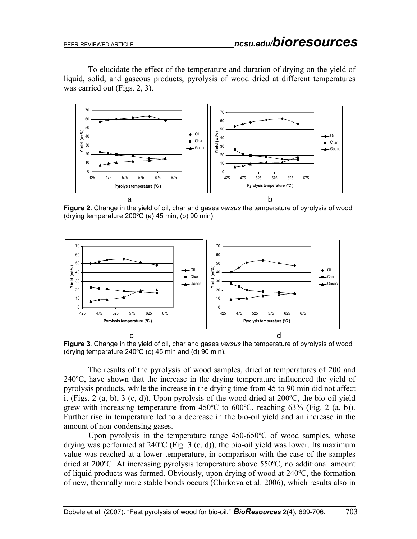To elucidate the effect of the temperature and duration of drying on the yield of liquid, solid, and gaseous products, pyrolysis of wood dried at different temperatures was carried out (Figs. 2, 3).



**Figure 2.** Change in the yield of oil, char and gases *versus* the temperature of pyrolysis of wood (drying temperature 200ºС (a) 45 min, (b) 90 min).



**Figure 3**. Change in the yield of oil, char and gases *versus* the temperature of pyrolysis of wood (drying temperature 240ºС (c) 45 min and (d) 90 min).

The results of the pyrolysis of wood samples, dried at temperatures of 200 and 240ºС, have shown that the increase in the drying temperature influenced the yield of pyrolysis products, while the increase in the drying time from 45 to 90 min did not affect it (Figs. 2 (a, b), 3 (с, d)). Upon pyrolysis of the wood dried at 200ºС, the bio-oil yield grew with increasing temperature from 450ºС to 600ºС, reaching 63% (Fig. 2 (a, b)). Further rise in temperature led to a decrease in the bio-oil yield and an increase in the amount of non-condensing gases.

Upon pyrolysis in the temperature range 450-650°C of wood samples, whose drying was performed at  $240^{\circ}$ C (Fig. 3 (c, d)), the bio-oil yield was lower. Its maximum value was reached at a lower temperature, in comparison with the case of the samples dried at 200ºС. At increasing pyrolysis temperature above 550ºС, no additional amount of liquid products was formed. Obviously, upon drying of wood at 240ºС, the formation of new, thermally more stable bonds occurs (Chirkova et al. 2006), which results also in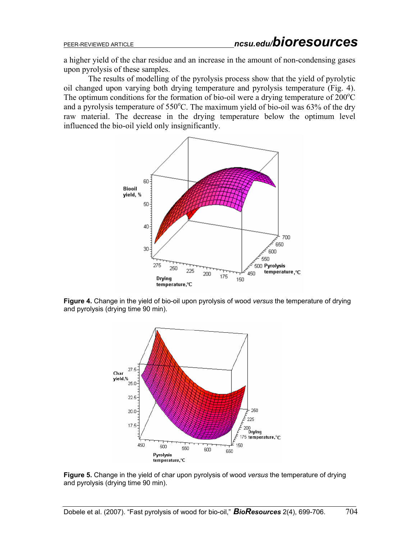a higher yield of the char residue and an increase in the amount of non-condensing gases upon pyrolysis of these samples.

The results of modelling of the pyrolysis process show that the yield of pyrolytic oil changed upon varying both drying temperature and pyrolysis temperature (Fig. 4). The optimum conditions for the formation of bio-oil were a drying temperature of  $200^{\circ}$ C and a pyrolysis temperature of  $550^{\circ}$ C. The maximum yield of bio-oil was 63% of the dry raw material. The decrease in the drying temperature below the optimum level influenced the bio-oil yield only insignificantly.



**Figure 4.** Change in the yield of bio-oil upon pyrolysis of wood *versus* the temperature of drying and pyrolysis (drying time 90 min).



**Figure 5.** Change in the yield of char upon pyrolysis of wood *versus* the temperature of drying and pyrolysis (drying time 90 min).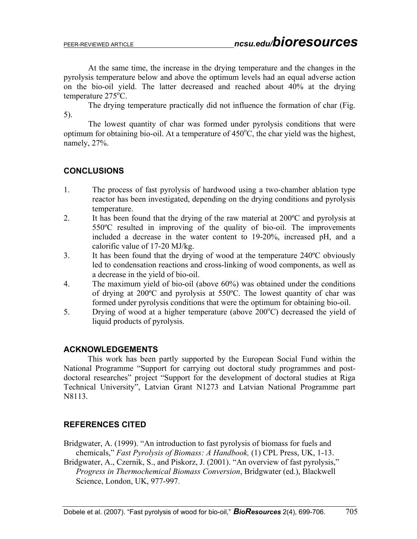At the same time, the increase in the drying temperature and the changes in the pyrolysis temperature below and above the optimum levels had an equal adverse action on the bio-oil yield. The latter decreased and reached about 40% at the drying temperature  $275^{\circ}$ C.

The drying temperature practically did not influence the formation of char (Fig. 5).

The lowest quantity of char was formed under pyrolysis conditions that were optimum for obtaining bio-oil. At a temperature of  $450^{\circ}$ C, the char yield was the highest, namely, 27%.

## **CONCLUSIONS**

- 1. The process of fast pyrolysis of hardwood using a two-chamber ablation type reactor has been investigated, depending on the drying conditions and pyrolysis temperature.
- 2. It has been found that the drying of the raw material at  $200^{\circ}$ C and pyrolysis at 550ºС resulted in improving of the quality of bio-oil. The improvements included a decrease in the water content to 19-20%, increased рН, and a calorific value of 17-20 МJ/kg.
- 3. It has been found that the drying of wood at the temperature 240ºС obviously led to condensation reactions and cross-linking of wood components, as well as a decrease in the yield of bio-oil.
- 4. The maximum yield of bio-oil (above 60%) was obtained under the conditions of drying at 200ºС and pyrolysis at 550ºС. The lowest quantity of char was formed under pyrolysis conditions that were the optimum for obtaining bio-oil.
- 5. Drying of wood at a higher temperature (above  $200^{\circ}$ C) decreased the yield of liquid products of pyrolysis.

### **ACKNOWLEDGEMENTS**

This work has been partly supported by the European Social Fund within the National Programme "Support for carrying out doctoral study programmes and postdoctoral researches" project "Support for the development of doctoral studies at Riga Technical University", Latvian Grant N1273 and Latvian National Programme part N8113.

### **REFERENCES CITED**

Bridgwater, A. (1999). "An introduction to fast pyrolysis of biomass for fuels and chemicals," *Fast Pyrolysis of Biomass: A Handbook,* (1) CPL Press, UK, 1-13.

Bridgwater, A., Czernik, S., and Piskorz, J. (2001). "An overview of fast pyrolysis," *Progress in Thermochemical Biomass Conversion*, Bridgwater (ed.), Blackwell Science, London, UK, 977-997.